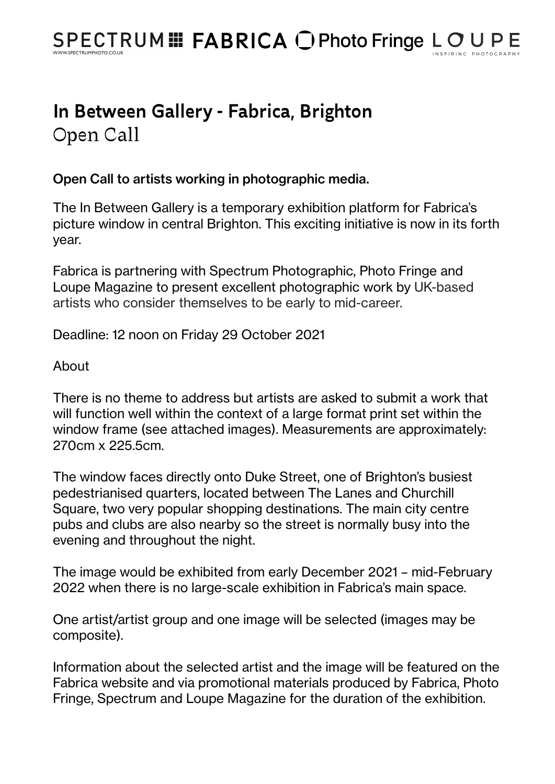## In Between Gallery - Fabrica, Brighton Open Call

## Open Call to artists working in photographic media.

The In Between Gallery is a temporary exhibition platform for Fabrica's picture window in central Brighton. This exciting initiative is now in its forth year.

Fabrica is partnering with Spectrum Photographic, Photo Fringe and Loupe Magazine to present excellent photographic work by UK-based artists who consider themselves to be early to mid-career.

Deadline: 12 noon on Friday 29 October 2021

About

There is no theme to address but artists are asked to submit a work that will function well within the context of a large format print set within the window frame (see attached images). Measurements are approximately: 270cm x 225.5cm.

The window faces directly onto Duke Street, one of Brighton's busiest pedestrianised quarters, located between The Lanes and Churchill Square, two very popular shopping destinations. The main city centre pubs and clubs are also nearby so the street is normally busy into the evening and throughout the night.

The image would be exhibited from early December 2021 – mid-February 2022 when there is no large-scale exhibition in Fabrica's main space.

One artist/artist group and one image will be selected (images may be composite).

Information about the selected artist and the image will be featured on the Fabrica website and via promotional materials produced by Fabrica, Photo Fringe, Spectrum and Loupe Magazine for the duration of the exhibition.